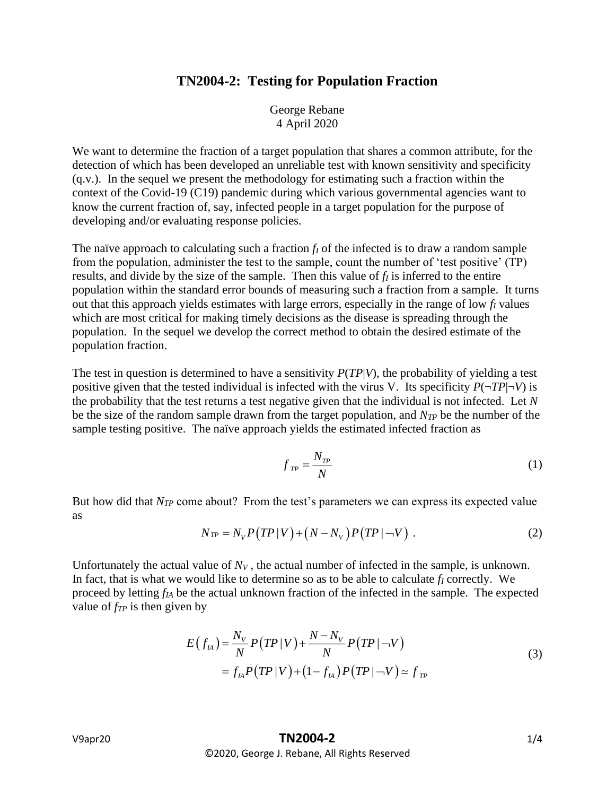## **TN2004-2: Testing for Population Fraction**

George Rebane 4 April 2020

We want to determine the fraction of a target population that shares a common attribute, for the detection of which has been developed an unreliable test with known sensitivity and specificity (q.v.). In the sequel we present the methodology for estimating such a fraction within the context of the Covid-19 (C19) pandemic during which various governmental agencies want to know the current fraction of, say, infected people in a target population for the purpose of developing and/or evaluating response policies.

The naïve approach to calculating such a fraction *f<sup>I</sup>* of the infected is to draw a random sample from the population, administer the test to the sample, count the number of 'test positive' (TP) results, and divide by the size of the sample. Then this value of *f<sup>I</sup>* is inferred to the entire population within the standard error bounds of measuring such a fraction from a sample. It turns out that this approach yields estimates with large errors, especially in the range of low *f<sup>I</sup>* values which are most critical for making timely decisions as the disease is spreading through the population. In the sequel we develop the correct method to obtain the desired estimate of the population fraction.

The test in question is determined to have a sensitivity *P*(*TP*|*V*), the probability of yielding a test positive given that the tested individual is infected with the virus V. Its specificity  $P(\neg TP|\neg V)$  is the probability that the test returns a test negative given that the individual is not infected. Let *N* be the size of the random sample drawn from the target population, and *NTP* be the number of the sample testing positive. The naïve approach yields the estimated infected fraction as

$$
f_{TP} = \frac{N_{TP}}{N} \tag{1}
$$

But how did that *NTP* come about? From the test's parameters we can express its expected value as

$$
N_{TP} = N_V P(TP|V) + (N - N_V) P(TP|\neg V) . \qquad (2)
$$

Unfortunately the actual value of  $N_V$ , the actual number of infected in the sample, is unknown. In fact, that is what we would like to determine so as to be able to calculate *f<sup>I</sup>* correctly. We proceed by letting *fIA* be the actual unknown fraction of the infected in the sample. The expected value of *fTP* is then given by

$$
E(f_{IA}) = \frac{N_V}{N} P(TP|V) + \frac{N - N_V}{N} P(TP|\neg V)
$$
  
=  $f_{IA} P(TP|V) + (1 - f_{IA}) P(TP|\neg V) \approx f_{TP}$  (3)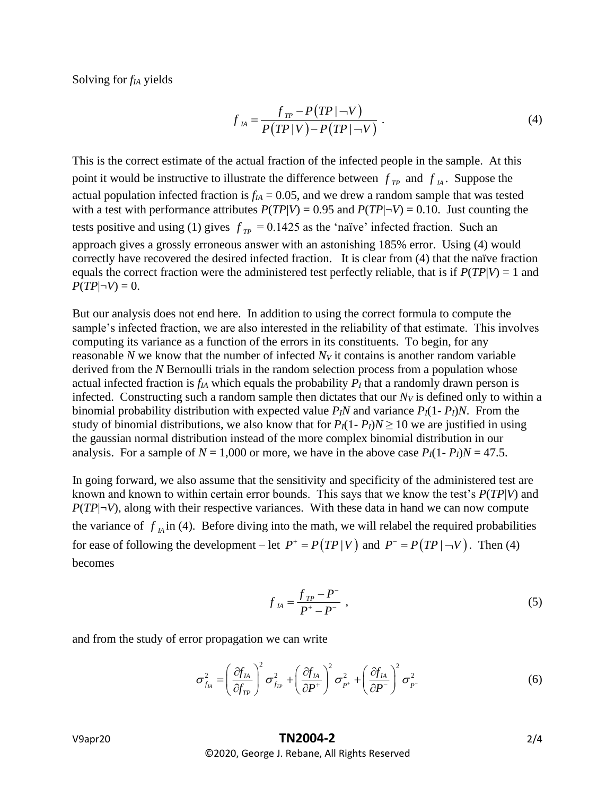Solving for *fIA* yields

$$
f_{\scriptscriptstyle IA} = \frac{f_{\scriptscriptstyle TP} - P(TP|\neg V)}{P(TP|V) - P(TP|\neg V)}.
$$
\n(4)

This is the correct estimate of the actual fraction of the infected people in the sample. At this point it would be instructive to illustrate the difference between  $f_{TP}$  and  $f_{IA}$ . Suppose the actual population infected fraction is  $f_{IA} = 0.05$ , and we drew a random sample that was tested with a test with performance attributes  $P(TP|V) = 0.95$  and  $P(TP|\neg V) = 0.10$ . Just counting the tests positive and using (1) gives  $f_{TP} = 0.1425$  as the 'naïve' infected fraction. Such an approach gives a grossly erroneous answer with an astonishing 185% error. Using (4) would correctly have recovered the desired infected fraction. It is clear from (4) that the naïve fraction equals the correct fraction were the administered test perfectly reliable, that is if  $P(TP|V) = 1$  and  $P(TP|\neg V) = 0.$ 

But our analysis does not end here. In addition to using the correct formula to compute the sample's infected fraction, we are also interested in the reliability of that estimate. This involves computing its variance as a function of the errors in its constituents. To begin, for any reasonable *N* we know that the number of infected *N<sup>V</sup>* it contains is another random variable derived from the *N* Bernoulli trials in the random selection process from a population whose actual infected fraction is  $f_A$  which equals the probability  $P_I$  that a randomly drawn person is infected. Constructing such a random sample then dictates that our  $N_V$  is defined only to within a binomial probability distribution with expected value  $P_I N$  and variance  $P_I (1 - P_I) N$ . From the study of binomial distributions, we also know that for  $P_I(1 - P_I)N \ge 10$  we are justified in using the gaussian normal distribution instead of the more complex binomial distribution in our analysis. For a sample of  $N = 1,000$  or more, we have in the above case  $P_I(1 - P_I)N = 47.5$ .

In going forward, we also assume that the sensitivity and specificity of the administered test are known and known to within certain error bounds. This says that we know the test's *P*(*TP*|*V*) and  $P(TP|\neg V)$ , along with their respective variances. With these data in hand we can now compute the variance of  $f_A$  in (4). Before diving into the math, we will relabel the required probabilities for ease of following the development – let  $P^+ = P(TP|V)$  and  $P^- = P(TP|\neg V)$ . Then (4) becomes

$$
f_{IA} = \frac{f_{TP} - P^{-}}{P^{+} - P^{-}} \tag{5}
$$

and from the study of error propagation we can write

$$
\sigma_{f_{IA}}^2 = \left(\frac{\partial f_{IA}}{\partial f_{TP}}\right)^2 \sigma_{f_{TP}}^2 + \left(\frac{\partial f_{IA}}{\partial P^+}\right)^2 \sigma_{P^+}^2 + \left(\frac{\partial f_{IA}}{\partial P^-}\right)^2 \sigma_{P^-}^2 \tag{6}
$$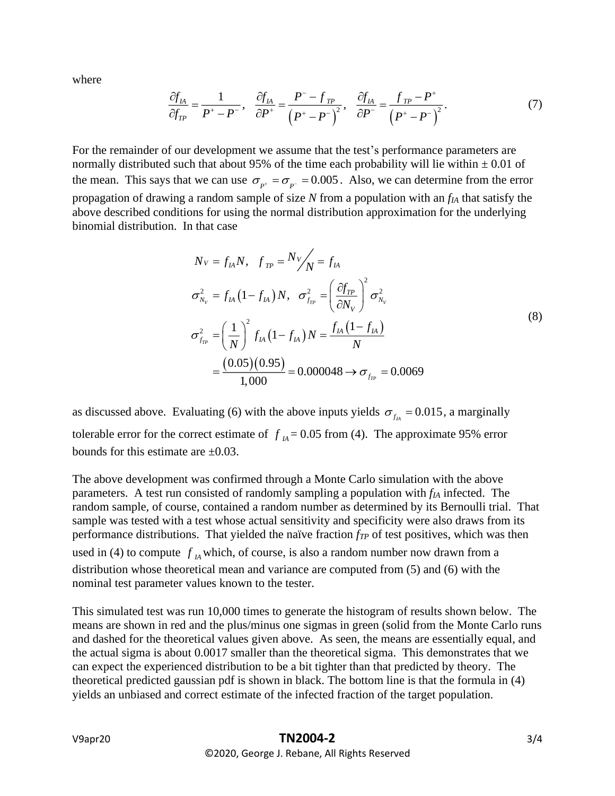where

$$
\frac{\partial f_{IA}}{\partial f_{TP}} = \frac{1}{P^+ - P^-}, \quad \frac{\partial f_{IA}}{\partial P^+} = \frac{P^- - f_{TP}}{\left(P^+ - P^-\right)^2}, \quad \frac{\partial f_{IA}}{\partial P^-} = \frac{f_{TP} - P^+}{\left(P^+ - P^-\right)^2}.\tag{7}
$$

For the remainder of our development we assume that the test's performance parameters are normally distributed such that about 95% of the time each probability will lie within  $\pm 0.01$  of the mean. This says that we can use  $\sigma_{p^+} = \sigma_{p^-} = 0.005$ . Also, we can determine from the error propagation of drawing a random sample of size *N* from a population with an *fIA* that satisfy the above described conditions for using the normal distribution approximation for the underlying binomial distribution. In that case

$$
N_V = f_{IA} N, \quad f_{TP} = N_V / \sqrt{N} = f_{IA}
$$
  
\n
$$
\sigma_{N_V}^2 = f_{IA} (1 - f_{IA}) N, \quad \sigma_{f_{TP}}^2 = \left(\frac{\partial f_{TP}}{\partial N_V}\right)^2 \sigma_{N_V}^2
$$
  
\n
$$
\sigma_{f_{TP}}^2 = \left(\frac{1}{N}\right)^2 f_{IA} (1 - f_{IA}) N = \frac{f_{IA} (1 - f_{IA})}{N}
$$
  
\n
$$
= \frac{(0.05)(0.95)}{1,000} = 0.000048 \rightarrow \sigma_{f_{TP}} = 0.0069
$$
 (8)

as discussed above. Evaluating (6) with the above inputs yields  $\sigma_{f_A} = 0.015$ , a marginally tolerable error for the correct estimate of  $f_A = 0.05$  from (4). The approximate 95% error bounds for this estimate are  $\pm 0.03$ .

The above development was confirmed through a Monte Carlo simulation with the above parameters. A test run consisted of randomly sampling a population with *fIA* infected. The random sample, of course, contained a random number as determined by its Bernoulli trial. That sample was tested with a test whose actual sensitivity and specificity were also draws from its performance distributions. That yielded the naïve fraction *fTP* of test positives, which was then used in (4) to compute  $f_A$  which, of course, is also a random number now drawn from a distribution whose theoretical mean and variance are computed from (5) and (6) with the nominal test parameter values known to the tester.

This simulated test was run 10,000 times to generate the histogram of results shown below. The means are shown in red and the plus/minus one sigmas in green (solid from the Monte Carlo runs and dashed for the theoretical values given above. As seen, the means are essentially equal, and the actual sigma is about 0.0017 smaller than the theoretical sigma. This demonstrates that we can expect the experienced distribution to be a bit tighter than that predicted by theory. The theoretical predicted gaussian pdf is shown in black. The bottom line is that the formula in (4) yields an unbiased and correct estimate of the infected fraction of the target population.